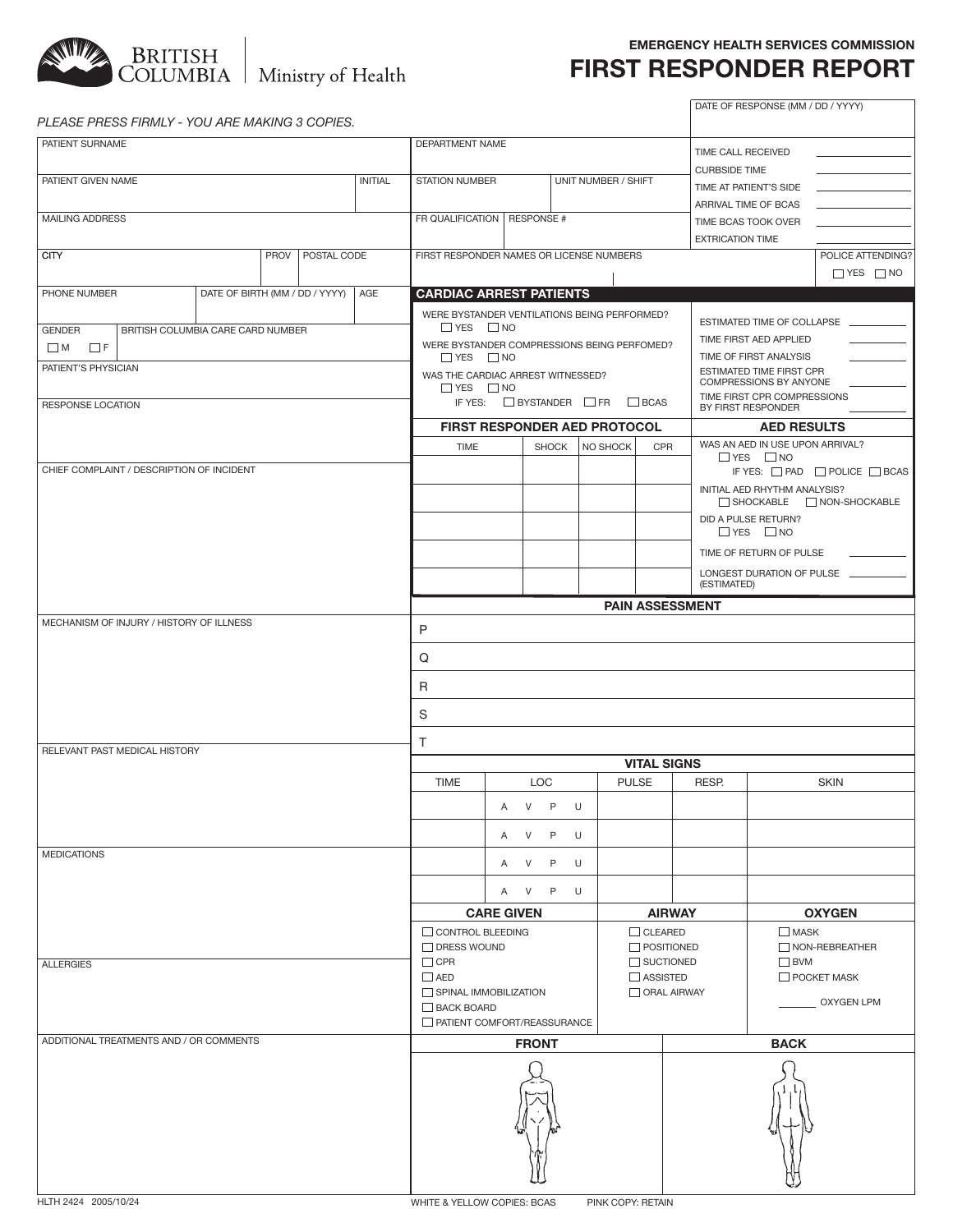

#### **emergency health services commission**

# **first responder report**

| PLEASE PRESS FIRMLY - YOU ARE MAKING 3 COPIES.     |                                |      |                         |                                      |                                                           |                      |                 |                                     |                        |                         | DATE OF RESPONSE (MM / DD / YYYY) |                                              |  |  |
|----------------------------------------------------|--------------------------------|------|-------------------------|--------------------------------------|-----------------------------------------------------------|----------------------|-----------------|-------------------------------------|------------------------|-------------------------|-----------------------------------|----------------------------------------------|--|--|
| PATIENT SURNAME                                    |                                |      |                         |                                      | DEPARTMENT NAME                                           |                      |                 |                                     |                        |                         |                                   |                                              |  |  |
|                                                    |                                |      |                         |                                      |                                                           |                      |                 |                                     |                        | TIME CALL RECEIVED      |                                   |                                              |  |  |
| PATIENT GIVEN NAME                                 |                                |      |                         |                                      | <b>STATION NUMBER</b>                                     |                      |                 | UNIT NUMBER / SHIFT                 |                        | <b>CURBSIDE TIME</b>    |                                   |                                              |  |  |
| <b>INITIAL</b>                                     |                                |      |                         |                                      |                                                           |                      |                 |                                     |                        | TIME AT PATIENT'S SIDE  |                                   |                                              |  |  |
|                                                    |                                |      |                         |                                      |                                                           |                      |                 |                                     |                        |                         | ARRIVAL TIME OF BCAS              |                                              |  |  |
| MAILING ADDRESS                                    |                                |      |                         |                                      | FR QUALIFICATION   RESPONSE #                             |                      |                 |                                     |                        |                         | TIME BCAS TOOK OVER               |                                              |  |  |
|                                                    |                                |      |                         |                                      |                                                           |                      |                 |                                     |                        | <b>EXTRICATION TIME</b> |                                   |                                              |  |  |
| <b>CITY</b>                                        |                                | PROV | POSTAL CODE             |                                      | FIRST RESPONDER NAMES OR LICENSE NUMBERS                  |                      |                 |                                     |                        |                         |                                   | POLICE ATTENDING?                            |  |  |
|                                                    |                                |      |                         |                                      |                                                           |                      |                 |                                     |                        |                         |                                   | $\Box$ YES $\Box$ NO                         |  |  |
| PHONE NUMBER                                       | DATE OF BIRTH (MM / DD / YYYY) |      |                         | AGE                                  | <b>CARDIAC ARREST PATIENTS</b>                            |                      |                 |                                     |                        |                         |                                   |                                              |  |  |
|                                                    |                                |      |                         |                                      |                                                           |                      |                 |                                     |                        |                         |                                   |                                              |  |  |
|                                                    |                                |      |                         |                                      | WERE BYSTANDER VENTILATIONS BEING PERFORMED?              |                      |                 |                                     |                        |                         | ESTIMATED TIME OF COLLAPSE        |                                              |  |  |
| <b>GENDER</b><br>BRITISH COLUMBIA CARE CARD NUMBER |                                |      |                         |                                      | $\Box$ YES $\Box$ NO                                      |                      |                 |                                     | TIME FIRST AED APPLIED |                         |                                   |                                              |  |  |
| $\Box$ M<br>$\Box$ F                               |                                |      |                         |                                      | WERE BYSTANDER COMPRESSIONS BEING PERFOMED?               |                      |                 |                                     |                        |                         | TIME OF FIRST ANALYSIS            |                                              |  |  |
| PATIENT'S PHYSICIAN                                |                                |      |                         |                                      |                                                           | $\Box$ YES $\Box$ NO |                 |                                     |                        |                         |                                   | ESTIMATED TIME FIRST CPR                     |  |  |
|                                                    |                                |      |                         |                                      | WAS THE CARDIAC ARREST WITNESSED?<br>$\Box$ YES $\Box$ NO |                      |                 |                                     |                        |                         | COMPRESSIONS BY ANYONE            |                                              |  |  |
|                                                    |                                |      |                         |                                      | IF YES: $\Box$ BYSTANDER $\Box$ FR $\Box$ BCAS            |                      |                 |                                     |                        |                         | TIME FIRST CPR COMPRESSIONS       |                                              |  |  |
| <b>RESPONSE LOCATION</b>                           |                                |      |                         |                                      |                                                           |                      |                 |                                     |                        | BY FIRST RESPONDER      |                                   |                                              |  |  |
|                                                    |                                |      |                         |                                      |                                                           |                      |                 | <b>FIRST RESPONDER AED PROTOCOL</b> |                        |                         | <b>AED RESULTS</b>                |                                              |  |  |
|                                                    |                                |      |                         |                                      | <b>TIME</b>                                               |                      | <b>SHOCK</b>    | NO SHOCK                            | <b>CPR</b>             |                         | WAS AN AED IN USE UPON ARRIVAL?   |                                              |  |  |
|                                                    |                                |      |                         |                                      |                                                           |                      |                 |                                     |                        |                         | $\Box$ YES $\Box$ NO              |                                              |  |  |
| CHIEF COMPLAINT / DESCRIPTION OF INCIDENT          |                                |      |                         |                                      |                                                           |                      |                 |                                     |                        |                         |                                   | IF YES: $\Box$ PAD $\Box$ POLICE $\Box$ BCAS |  |  |
|                                                    |                                |      |                         |                                      |                                                           |                      |                 |                                     |                        |                         | INITIAL AED RHYTHM ANALYSIS?      |                                              |  |  |
|                                                    |                                |      |                         |                                      |                                                           |                      |                 |                                     |                        |                         |                                   | SHOCKABLE NON-SHOCKABLE                      |  |  |
|                                                    |                                |      |                         |                                      |                                                           |                      |                 |                                     |                        |                         | DID A PULSE RETURN?               |                                              |  |  |
|                                                    |                                |      |                         |                                      |                                                           |                      |                 |                                     |                        |                         | $\Box$ YES $\Box$ NO              |                                              |  |  |
|                                                    |                                |      |                         |                                      |                                                           |                      |                 |                                     |                        |                         | TIME OF RETURN OF PULSE           |                                              |  |  |
|                                                    |                                |      |                         |                                      |                                                           |                      |                 |                                     |                        |                         | LONGEST DURATION OF PULSE         |                                              |  |  |
|                                                    |                                |      |                         |                                      |                                                           |                      |                 |                                     |                        | (ESTIMATED)             |                                   |                                              |  |  |
|                                                    |                                |      |                         |                                      |                                                           |                      |                 |                                     | <b>PAIN ASSESSMENT</b> |                         |                                   |                                              |  |  |
| MECHANISM OF INJURY / HISTORY OF ILLNESS           |                                |      |                         |                                      |                                                           |                      |                 |                                     |                        |                         |                                   |                                              |  |  |
|                                                    |                                |      |                         |                                      | P                                                         |                      |                 |                                     |                        |                         |                                   |                                              |  |  |
|                                                    |                                |      |                         |                                      | Q                                                         |                      |                 |                                     |                        |                         |                                   |                                              |  |  |
|                                                    |                                |      |                         | R                                    |                                                           |                      |                 |                                     |                        |                         |                                   |                                              |  |  |
|                                                    |                                |      |                         | S                                    |                                                           |                      |                 |                                     |                        |                         |                                   |                                              |  |  |
|                                                    |                                |      |                         | T                                    |                                                           |                      |                 |                                     |                        |                         |                                   |                                              |  |  |
| RELEVANT PAST MEDICAL HISTORY                      |                                |      |                         |                                      |                                                           |                      |                 |                                     |                        |                         |                                   |                                              |  |  |
|                                                    |                                |      |                         |                                      |                                                           |                      |                 |                                     | <b>VITAL SIGNS</b>     |                         |                                   |                                              |  |  |
|                                                    |                                |      |                         |                                      | <b>TIME</b>                                               |                      | <b>LOC</b>      |                                     | <b>PULSE</b>           | RESP.                   |                                   | <b>SKIN</b>                                  |  |  |
|                                                    |                                |      |                         |                                      |                                                           |                      | A V P U         |                                     |                        |                         |                                   |                                              |  |  |
|                                                    |                                |      |                         |                                      |                                                           |                      | A V P U         |                                     |                        |                         |                                   |                                              |  |  |
| <b>MEDICATIONS</b>                                 |                                |      |                         |                                      |                                                           |                      | A V P U         |                                     |                        |                         |                                   |                                              |  |  |
|                                                    |                                |      |                         |                                      |                                                           |                      |                 |                                     |                        |                         |                                   |                                              |  |  |
|                                                    |                                |      |                         |                                      |                                                           |                      | A V P U         |                                     |                        |                         |                                   |                                              |  |  |
|                                                    |                                |      |                         | <b>CARE GIVEN</b>                    |                                                           |                      | <b>AIRWAY</b>   |                                     |                        | <b>OXYGEN</b>           |                                   |                                              |  |  |
|                                                    |                                |      | <b>CONTROL BLEEDING</b> |                                      |                                                           |                      | $\Box$ CLEARED  |                                     | $\Box$ MASK            |                         |                                   |                                              |  |  |
|                                                    |                                |      |                         |                                      | $\Box$ DRESS WOUND                                        |                      |                 |                                     | $\Box$ POSITIONED      |                         |                                   | $\Box$ NON-REBREATHER                        |  |  |
| <b>ALLERGIES</b>                                   |                                |      |                         |                                      | $\Box$ CPR                                                |                      |                 |                                     | $\Box$ SUCTIONED       |                         | $\square$ BVM                     |                                              |  |  |
|                                                    |                                |      | $\Box$ AED              |                                      |                                                           |                      | $\Box$ ASSISTED | $\Box$ POCKET MASK                  |                        |                         |                                   |                                              |  |  |
|                                                    |                                |      |                         | ORAL AIRWAY<br>SPINAL IMMOBILIZATION |                                                           |                      |                 |                                     |                        |                         |                                   |                                              |  |  |
|                                                    |                                |      |                         |                                      | BACK BOARD                                                |                      |                 |                                     |                        |                         | __ OXYGEN LPM                     |                                              |  |  |
|                                                    |                                |      |                         |                                      | PATIENT COMFORT/REASSURANCE                               |                      |                 |                                     |                        |                         |                                   |                                              |  |  |
| ADDITIONAL TREATMENTS AND / OR COMMENTS            |                                |      |                         | <b>FRONT</b>                         |                                                           |                      |                 |                                     |                        | <b>BACK</b>             |                                   |                                              |  |  |
|                                                    |                                |      |                         |                                      |                                                           |                      |                 |                                     |                        |                         |                                   |                                              |  |  |
|                                                    |                                |      |                         |                                      |                                                           |                      |                 |                                     |                        |                         |                                   |                                              |  |  |
|                                                    |                                |      |                         |                                      |                                                           |                      |                 |                                     |                        |                         |                                   |                                              |  |  |
|                                                    |                                |      |                         |                                      |                                                           |                      |                 |                                     |                        |                         |                                   |                                              |  |  |
|                                                    |                                |      |                         |                                      |                                                           |                      |                 |                                     |                        |                         |                                   |                                              |  |  |
|                                                    |                                |      |                         |                                      |                                                           |                      |                 |                                     |                        |                         |                                   |                                              |  |  |
|                                                    |                                |      |                         |                                      |                                                           |                      |                 |                                     |                        |                         |                                   |                                              |  |  |
|                                                    |                                |      |                         |                                      |                                                           |                      |                 |                                     |                        |                         |                                   |                                              |  |  |